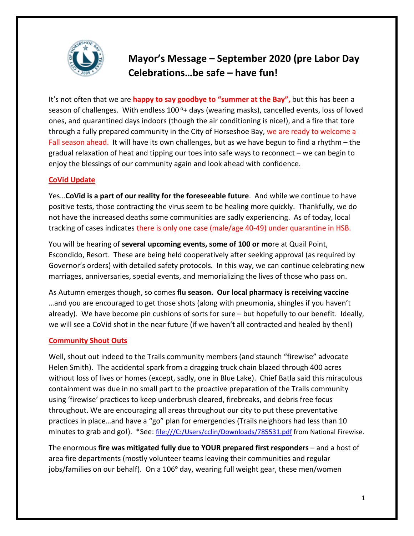

# **Mayor's Message – September 2020 (pre Labor Day Celebrations…be safe – have fun!**

It's not often that we are **happy to say goodbye to "summer at the Bay",** but this has been a season of challenges. With endless  $100^\circ$ + days (wearing masks), cancelled events, loss of loved ones, and quarantined days indoors (though the air conditioning is nice!), and a fire that tore through a fully prepared community in the City of Horseshoe Bay, we are ready to welcome a Fall season ahead. It will have its own challenges, but as we have begun to find a rhythm - the gradual relaxation of heat and tipping our toes into safe ways to reconnect – we can begin to enjoy the blessings of our community again and look ahead with confidence.

### **CoVid Update**

Yes…**CoVid is a part of our reality for the foreseeable future**. And while we continue to have positive tests, those contracting the virus seem to be healing more quickly. Thankfully, we do not have the increased deaths some communities are sadly experiencing. As of today, local tracking of cases indicates there is only one case (male/age 40-49) under quarantine in HSB.

You will be hearing of **several upcoming events, some of 100 or mo**re at Quail Point, Escondido, Resort. These are being held cooperatively after seeking approval (as required by Governor's orders) with detailed safety protocols. In this way, we can continue celebrating new marriages, anniversaries, special events, and memorializing the lives of those who pass on.

As Autumn emerges though, so comes **flu season. Our local pharmacy is receiving vaccine** …and you are encouraged to get those shots (along with pneumonia, shingles if you haven't already). We have become pin cushions of sorts for sure – but hopefully to our benefit. Ideally, we will see a CoVid shot in the near future (if we haven't all contracted and healed by then!)

## **Community Shout Outs**

Well, shout out indeed to the Trails community members (and staunch "firewise" advocate Helen Smith). The accidental spark from a dragging truck chain blazed through 400 acres without loss of lives or homes (except, sadly, one in Blue Lake). Chief Batla said this miraculous containment was due in no small part to the proactive preparation of the Trails community using 'firewise' practices to keep underbrush cleared, firebreaks, and debris free focus throughout. We are encouraging all areas throughout our city to put these preventative practices in place…and have a "go" plan for emergencies (Trails neighbors had less than 10 minutes to grab and go!). \*See: file:///C:/Users/cclin/Downloads/785531.pdf from National Firewise.

The enormous **fire was mitigated fully due to YOUR prepared first responders** – and a host of area fire departments (mostly volunteer teams leaving their communities and regular jobs/families on our behalf). On a  $106^{\circ}$  day, wearing full weight gear, these men/women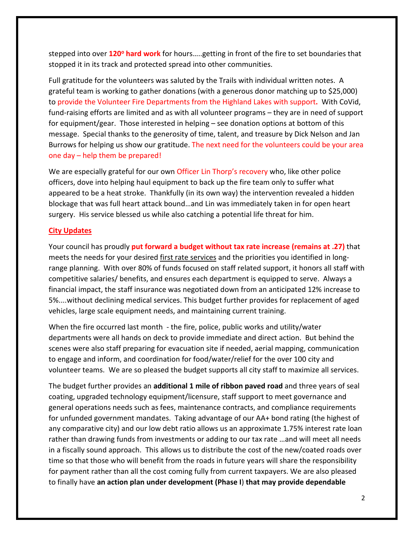stepped into over **120o hard work** for hours…..getting in front of the fire to set boundaries that stopped it in its track and protected spread into other communities.

Full gratitude for the volunteers was saluted by the Trails with individual written notes. A grateful team is working to gather donations (with a generous donor matching up to \$25,000) to provide the Volunteer Fire Departments from the Highland Lakes with support**.** With CoVid, fund-raising efforts are limited and as with all volunteer programs – they are in need of support for equipment/gear. Those interested in helping – see donation options at bottom of this message. Special thanks to the generosity of time, talent, and treasure by Dick Nelson and Jan Burrows for helping us show our gratitude. The next need for the volunteers could be your area one day – help them be prepared!

We are especially grateful for our own Officer Lin Thorp's recovery who, like other police officers, dove into helping haul equipment to back up the fire team only to suffer what appeared to be a heat stroke. Thankfully (in its own way) the intervention revealed a hidden blockage that was full heart attack bound…and Lin was immediately taken in for open heart surgery. His service blessed us while also catching a potential life threat for him.

#### **City Updates**

Your council has proudly **put forward a budget without tax rate increase (remains at .27)** that meets the needs for your desired first rate services and the priorities you identified in longrange planning. With over 80% of funds focused on staff related support, it honors all staff with competitive salaries/ benefits, and ensures each department is equipped to serve. Always a financial impact, the staff insurance was negotiated down from an anticipated 12% increase to 5%....without declining medical services. This budget further provides for replacement of aged vehicles, large scale equipment needs, and maintaining current training.

When the fire occurred last month - the fire, police, public works and utility/water departments were all hands on deck to provide immediate and direct action. But behind the scenes were also staff preparing for evacuation site if needed, aerial mapping, communication to engage and inform, and coordination for food/water/relief for the over 100 city and volunteer teams. We are so pleased the budget supports all city staff to maximize all services.

The budget further provides an **additional 1 mile of ribbon paved road** and three years of seal coating, upgraded technology equipment/licensure, staff support to meet governance and general operations needs such as fees, maintenance contracts, and compliance requirements for unfunded government mandates. Taking advantage of our AA+ bond rating (the highest of any comparative city) and our low debt ratio allows us an approximate 1.75% interest rate loan rather than drawing funds from investments or adding to our tax rate …and will meet all needs in a fiscally sound approach. This allows us to distribute the cost of the new/coated roads over time so that those who will benefit from the roads in future years will share the responsibility for payment rather than all the cost coming fully from current taxpayers. We are also pleased to finally have **an action plan under development (Phase I**) **that may provide dependable**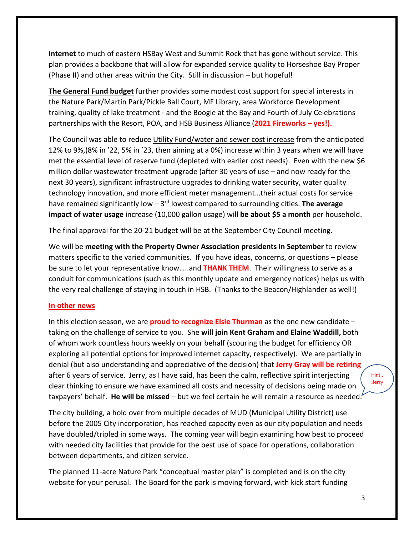**internet** to much of eastern HSBay West and Summit Rock that has gone without service. This plan provides a backbone that will allow for expanded service quality to Horseshoe Bay Proper (Phase II) and other areas within the City. Still in discussion – but hopeful!

**The General Fund budget** further provides some modest cost support for special interests in the Nature Park/Martin Park/Pickle Ball Court, MF Library, area Workforce Development training, quality of lake treatment - and the Boogie at the Bay and Fourth of July Celebrations partnerships with the Resort, POA, and HSB Business Alliance (**2021 Fireworks – yes!).**

The Council was able to reduce Utility Fund/water and sewer cost increase from the anticipated 12% to 9%,(8% in '22, 5% in '23, then aiming at a 0%) increase within 3 years when we will have met the essential level of reserve fund (depleted with earlier cost needs). Even with the new \$6 million dollar wastewater treatment upgrade (after 30 years of use – and now ready for the next 30 years), significant infrastructure upgrades to drinking water security, water quality technology innovation, and more efficient meter management…their actual costs for service have remained significantly low – 3rd lowest compared to surrounding cities. **The average impact of water usage** increase (10,000 gallon usage) will **be about \$5 a month** per household.

The final approval for the 20-21 budget will be at the September City Council meeting.

We will be **meeting with the Property Owner Association presidents in September** to review matters specific to the varied communities. If you have ideas, concerns, or questions – please be sure to let your representative know…..and **THANK THEM**. Their willingness to serve as a conduit for communications (such as this monthly update and emergency notices) helps us with the very real challenge of staying in touch in HSB. (Thanks to the Beacon/Highlander as well!)

#### **In other news**

In this election season, we are **proud to recognize Elsie Thurman** as the one new candidate – taking on the challenge of service to you. She **will join Kent Graham and Elaine Waddill,** both of whom work countless hours weekly on your behalf (scouring the budget for efficiency OR exploring all potential options for improved internet capacity, respectively). We are partially in denial (but also understanding and appreciative of the decision) that **Jerry Gray will be retiring** after 6 years of service. Jerry, as I have said, has been the calm, reflective spirit interjecting clear thinking to ensure we have examined all costs and necessity of decisions being made on taxpayers' behalf. **He will be missed** – but we feel certain he will remain a resource as needed.

The city building, a hold over from multiple decades of MUD (Municipal Utility District) use before the 2005 City incorporation, has reached capacity even as our city population and needs have doubled/tripled in some ways. The coming year will begin examining how best to proceed with needed city facilities that provide for the best use of space for operations, collaboration between departments, and citizen service.

The planned 11-acre Nature Park "conceptual master plan" is completed and is on the city website for your perusal. The Board for the park is moving forward, with kick start funding Hint.. .Jerry